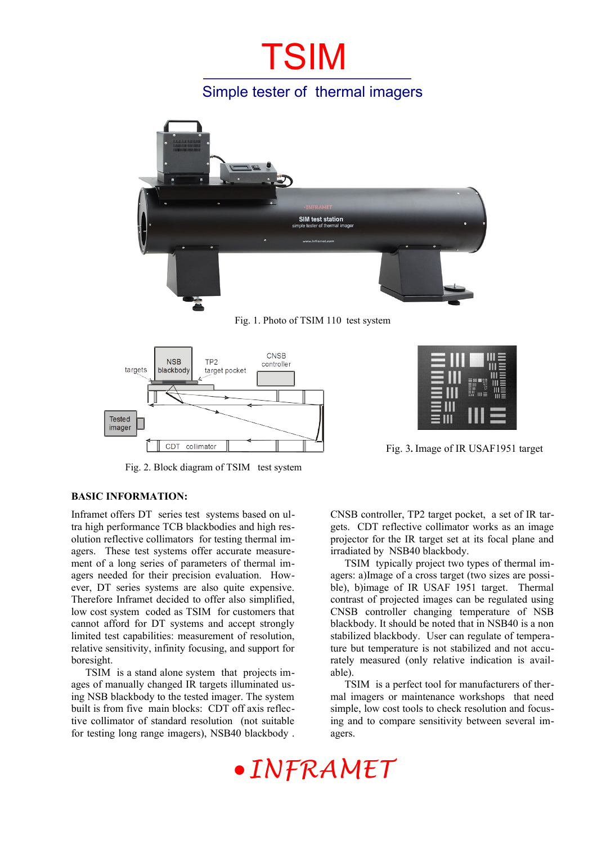# **TSIM**

### Simple tester of thermal imagers



Fig. 1. Photo of TSIM 110 test system



Fig. 2. Block diagram of TSIM test system



Fig. 3**.** Image of IR USAF1951 target

#### **BASIC INFORMATION:**

Inframet offers DT series test systems based on ultra high performance TCB blackbodies and high resolution reflective collimators for testing thermal imagers. These test systems offer accurate measurement of a long series of parameters of thermal imagers needed for their precision evaluation. However, DT series systems are also quite expensive. Therefore Inframet decided to offer also simplified, low cost system coded as TSIM for customers that cannot afford for DT systems and accept strongly limited test capabilities: measurement of resolution, relative sensitivity, infinity focusing, and support for boresight.

TSIM is a stand alone system that projects images of manually changed IR targets illuminated using NSB blackbody to the tested imager. The system built is from five main blocks: CDT off axis reflective collimator of standard resolution (not suitable for testing long range imagers), NSB40 blackbody .

CNSB controller, TP2 target pocket, a set of IR targets. CDT reflective collimator works as an image projector for the IR target set at its focal plane and irradiated by NSB40 blackbody.

TSIM typically project two types of thermal imagers: a)Image of a cross target (two sizes are possible), b)image of IR USAF 1951 target. Thermal contrast of projected images can be regulated using CNSB controller changing temperature of NSB blackbody. It should be noted that in NSB40 is a non stabilized blackbody. User can regulate of temperature but temperature is not stabilized and not accurately measured (only relative indication is available).

TSIM is a perfect tool for manufacturers of thermal imagers or maintenance workshops that need simple, low cost tools to check resolution and focusing and to compare sensitivity between several imagers.

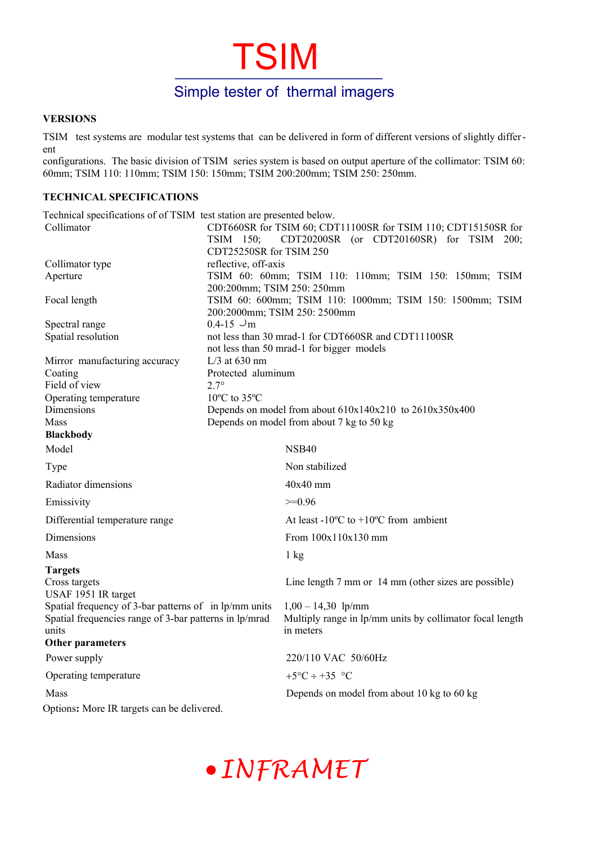# TSIM

### Simple tester of thermal imagers

#### **VERSIONS**

TSIM test systems are modular test systems that can be delivered in form of different versions of slightly different

configurations. The basic division of TSIM series system is based on output aperture of the collimator: TSIM 60: 60mm; TSIM 110: 110mm; TSIM 150: 150mm; TSIM 200:200mm; TSIM 250: 250mm.

#### **TECHNICAL SPECIFICATIONS**

| Technical specifications of of TSIM test station are presented below.                                                    |                                                             |                                                                                               |
|--------------------------------------------------------------------------------------------------------------------------|-------------------------------------------------------------|-----------------------------------------------------------------------------------------------|
| Collimator                                                                                                               |                                                             | CDT660SR for TSIM 60; CDT11100SR for TSIM 110; CDT15150SR for                                 |
|                                                                                                                          | TSIM 150;                                                   | CDT20200SR (or CDT20160SR) for TSIM 200;                                                      |
|                                                                                                                          | CDT25250SR for TSIM 250                                     |                                                                                               |
| Collimator type                                                                                                          | reflective, off-axis                                        |                                                                                               |
| Aperture                                                                                                                 | 200:200mm; TSIM 250: 250mm                                  | TSIM 60: 60mm; TSIM 110: 110mm; TSIM 150: 150mm; TSIM                                         |
| Focal length                                                                                                             |                                                             | TSIM 60: 600mm; TSIM 110: 1000mm; TSIM 150: 1500mm; TSIM<br>200:2000mm; TSIM 250: 2500mm      |
| Spectral range                                                                                                           | $0.4 - 15 \cup m$                                           |                                                                                               |
| Spatial resolution                                                                                                       |                                                             | not less than 30 mrad-1 for CDT660SR and CDT11100SR                                           |
|                                                                                                                          |                                                             | not less than 50 mrad-1 for bigger models                                                     |
| Mirror manufacturing accuracy                                                                                            | $L/3$ at 630 nm                                             |                                                                                               |
| Coating                                                                                                                  | Protected aluminum                                          |                                                                                               |
| Field of view                                                                                                            | $2.7^\circ$                                                 |                                                                                               |
| Operating temperature                                                                                                    | $10^{\circ}$ C to 35 $^{\circ}$ C                           |                                                                                               |
| Dimensions                                                                                                               | Depends on model from about $610x140x210$ to $2610x350x400$ |                                                                                               |
| <b>Mass</b>                                                                                                              |                                                             | Depends on model from about 7 kg to 50 kg                                                     |
| <b>Blackbody</b>                                                                                                         |                                                             |                                                                                               |
| Model                                                                                                                    |                                                             | NSB <sub>40</sub>                                                                             |
| Type                                                                                                                     |                                                             | Non stabilized                                                                                |
| Radiator dimensions                                                                                                      |                                                             | $40x40$ mm                                                                                    |
| Emissivity                                                                                                               |                                                             | $>=0.96$                                                                                      |
| Differential temperature range                                                                                           |                                                             | At least -10 $\rm{^{\circ}C}$ to +10 $\rm{^{\circ}C}$ from ambient                            |
| Dimensions                                                                                                               |                                                             | From 100x110x130 mm                                                                           |
| Mass                                                                                                                     |                                                             | $1 \text{ kg}$                                                                                |
| <b>Targets</b><br>Cross targets<br>USAF 1951 IR target                                                                   |                                                             | Line length 7 mm or 14 mm (other sizes are possible)                                          |
| Spatial frequency of 3-bar patterns of in lp/mm units<br>Spatial frequencies range of 3-bar patterns in lp/mrad<br>units |                                                             | $1,00 - 14,30$ lp/mm<br>Multiply range in lp/mm units by collimator focal length<br>in meters |
| Other parameters                                                                                                         |                                                             |                                                                                               |
| Power supply                                                                                                             |                                                             | 220/110 VAC 50/60Hz                                                                           |
| Operating temperature                                                                                                    |                                                             | +5 $\mathrm{^{\circ}C} \div 35 \mathrm{^{\circ}C}$                                            |
| Mass                                                                                                                     |                                                             | Depends on model from about 10 kg to 60 kg                                                    |
| Options: More IR targets can be delivered.                                                                               |                                                             |                                                                                               |